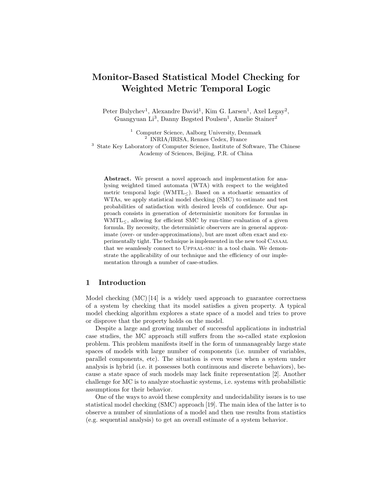## **Monitor-Based Statistical Model Checking for Weighted Metric Temporal Logic**

Peter Bulychev<sup>1</sup>, Alexandre David<sup>1</sup>, Kim G. Larsen<sup>1</sup>, Axel Legay<sup>2</sup>, Guangyuan Li<sup>3</sup>, Danny Bøgsted Poulsen<sup>1</sup>, Amelie Stainer<sup>2</sup>

<sup>1</sup> Computer Science, Aalborg University, Denmark <sup>2</sup> INRIA/IRISA, Rennes Cedex, France <sup>3</sup> State Key Laboratory of Computer Science, Institute of Software, The Chinese Academy of Sciences, Beijing, P.R. of China

**Abstract.** We present a novel approach and implementation for analysing weighted timed automata (WTA) with respect to the weighted metric temporal logic (WMTL $\leq$ ). Based on a stochastic semantics of WTAs, we apply statistical model checking (SMC) to estimate and test probabilities of satisfaction with desired levels of confidence. Our approach consists in generation of deterministic monitors for formulas in  $WMTL<sub>5</sub>$ , allowing for efficient SMC by run-time evaluation of a given formula. By necessity, the deterministic observers are in general approximate (over- or under-approximations), but are most often exact and experimentally tight. The technique is implemented in the new tool Casaal that we seamlessly connect to Uppaal-smc in a tool chain. We demonstrate the applicability of our technique and the efficiency of our implementation through a number of case-studies.

## **1 Introduction**

Model checking  $(MC)$  [14] is a widely used approach to guarantee correctness of a system by checking that its model satisfies a given property. A typical model checking algorithm explores a state space of a model and tries to prove or disprove that the property holds on the model.

Despite a large and growing number of successful applications in industrial case studies, the MC approach still suffers from the so-called state explosion problem. This problem manifests itself in the form of unmanageably large state spaces of models with large number of components (i.e. number of variables, parallel components, etc). The situation is even worse when a system under analysis is hybrid (i.e. it possesses both continuous and discrete behaviors), because a state space of such models may lack finite representation [2]. Another challenge for MC is to analyze stochastic systems, i.e. systems with probabilistic assumptions for their behavior.

One of the ways to avoid these complexity and undecidability issues is to use statistical model checking (SMC) approach [19]. The main idea of the latter is to observe a number of simulations of a model and then use results from statistics (e.g. sequential analysis) to get an overall estimate of a system behavior.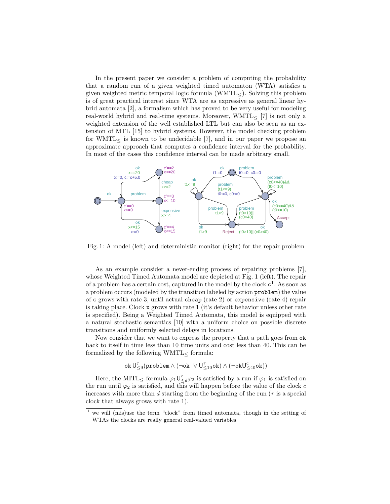In the present paper we consider a problem of computing the probability that a random run of a given weighted timed automaton (WTA) satisfies a given weighted metric temporal logic formula (WMTL≤). Solving this problem is of great practical interest since WTA are as expressive as general linear hybrid automata [2], a formalism which has proved to be very useful for modeling real-world hybrid and real-time systems. Moreover,  $WMTL \lt [7]$  is not only a weighted extension of the well established LTL but can also be seen as an extension of MTL [15] to hybrid systems. However, the model checking problem for WMTL $<$  is known to be undecidable [7], and in our paper we propose an approximate approach that computes a confidence interval for the probability. In most of the cases this confidence interval can be made arbitrary small.



Fig. 1: A model (left) and deterministic monitor (right) for the repair problem

As an example consider a never-ending process of repairing problems [7], whose Weighted Timed Automata model are depicted at Fig. 1 (left). The repair of a problem has a certain cost, captured in the model by the clock  $c^1$ . As soon as a problem occurs (modeled by the transition labeled by action problem) the value of c grows with rate <sup>3</sup>, until actual cheap (rate <sup>2</sup>) or expensive (rate <sup>4</sup>) repair is taking place. Clock x grows with rate <sup>1</sup> (it's default behavior unless other rate is specified). Being a Weighted Timed Automata, this model is equipped with a natural stochastic semantics [10] with a uniform choice on possible discrete transitions and uniformly selected delays in locations.

Now consider that we want to express the property that a path goes from ok back to itself in time less than 10 time units and cost less than 40. This can be formalized by the following  $\text{WMTL}_\leq$  formula:

$$
\mathtt{ok}\, \mathsf{U}^\tau_{\leq 9}(\mathtt{problem} \wedge (\neg \mathtt{ok} \ \vee \mathsf{U}^\tau_{\leq 10}\mathtt{ok}) \wedge (\neg \mathtt{ok}\mathsf{U}^\mathsf{c}_{\leq 40}\mathtt{ok}))
$$

Here, the MITL<sub>≤</sub>-formula  $\varphi_1 \bigcup_{\leq d}^c \varphi_2$  is satisfied by a run if  $\varphi_1$  is satisfied on the run until  $\varphi_2$  is satisfied, and this will happen before the value of the clock c increases with more than d starting from the beginning of the run ( $\tau$  is a special clock that always grows with rate 1).

<sup>1</sup> we will (mis)use the term "clock" from timed automata, though in the setting of WTAs the clocks are really general real-valued variables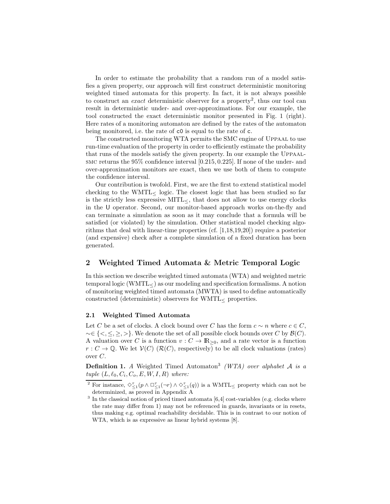In order to estimate the probability that a random run of a model satisfies a given property, our approach will first construct deterministic monitoring weighted timed automata for this property. In fact, it is not always possible to construct an *exact* deterministic observer for a property2, thus our tool can result in deterministic under- and over-approximations. For our example, the tool constructed the exact deterministic monitor presented in Fig. 1 (right). Here rates of a monitoring automaton are defined by the rates of the automaton being monitored, i.e. the rate of c0 is equal to the rate of c.

The constructed monitoring WTA permits the SMC engine of Uppaal to use run-time evaluation of the property in order to efficiently estimate the probability that runs of the models satisfy the given property. In our example the Uppaalsmc returns the 95% confidence interval [0.215, 0.225]. If none of the under- and over-approximation monitors are exact, then we use both of them to compute the confidence interval.

Our contribution is twofold. First, we are the first to extend statistical model checking to the  $WMTL$ < logic. The closest logic that has been studied so far is the strictly less expressive  $\text{MITL}_{\leq}$ , that does not allow to use energy clocks in the U operator. Second, our monitor-based approach works on-the-fly and can terminate a simulation as soon as it may conclude that a formula will be satisfied (or violated) by the simulation. Other statistical model checking algorithms that deal with linear-time properties (cf. [1,18,19,20]) require a posterior (and expensive) check after a complete simulation of a fixed duration has been generated.

## **2 Weighted Timed Automata & Metric Temporal Logic**

In this section we describe weighted timed automata (WTA) and weighted metric temporal logic (WMTL≤) as our modeling and specification formalisms. A notion of monitoring weighted timed automata (MWTA) is used to define automatically constructed (deterministic) observers for  $WMTL$ <sub><br/> properties.</sub>

#### **2.1 Weighted Timed Automata**

Let C be a set of clocks. A clock bound over C has the form  $c \sim n$  where  $c \in C$ ,  $\sim \in \{<,\leq, \geq, >\}.$  We denote the set of all possible clock bounds over C by  $\mathcal{B}(C)$ . A valuation over C is a function  $v: C \to \mathbb{R}_{\geq 0}$ , and a rate vector is a function  $r: C \to \mathbb{Q}$ . We let  $\mathcal{V}(C)$  ( $\mathcal{R}(C)$ , respectively) to be all clock valuations (rates) over C.

**Definition 1.** *A* Weighted Timed Automaton<sup>3</sup> *(WTA) over alphabet* A *is a tuple*  $(L, \ell_0, C_i, C_o, E, W, I, R)$  *where:* 

<sup>&</sup>lt;sup>2</sup> For instance,  $\Diamond_{\leq 1}^{\tau}(p \land \Box_{\leq 1}^{\tau}(\neg r) \land \Diamond_{\leq 1}^{\tau}(q))$  is a WMTL<sub>S</sub> property which can not be determinized, as proved in Appendix A

 $^3$  In the classical notion of priced timed automata  $\left[ 6,4\right]$  cost-variables (e.g. clocks where the rate may differ from 1) may not be referenced in guards, invariants or in resets, thus making e.g. optimal reachability decidable. This is in contrast to our notion of WTA, which is as expressive as linear hybrid systems [8].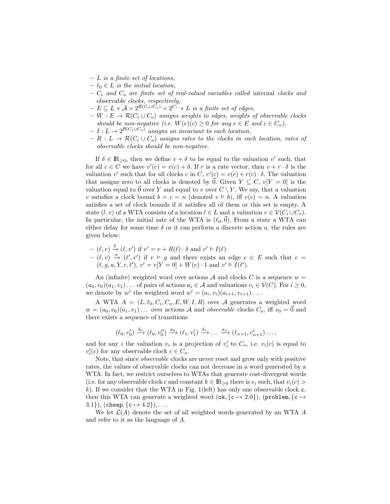- **–** L *is a finite set of locations,*
- $\ell_0 \in L$  *is the initial location,*
- $C_i$  and  $C_o$  are finite set of real-valued variables called internal *clocks* and observable *clocks, respectively,*
- $E \subseteq L \times A \times 2^{\mathcal{B}(C_i \cup \tilde{C_o})} \times 2^{\tilde{C_i}} \times L$  *is a finite set of edges,*
- $W : E → R(C<sub>i</sub> ∪ C<sub>o</sub>)$  *assigns weights to edges, weights of observable clocks should be non-negative (i.e.*  $W(e)(c) \geq 0$  *for any*  $e \in E$  *and*  $c \in C_o$ ),
- $-I: L \to 2^{\mathcal{B}(C_i \cup C_o)}$  assigns an invariant to each location,
- $R : L \to \mathcal{R}(C_i \cup C_o)$  *assigns rates to the clocks in each location, rates of observable clocks should be non-negative.*

If  $\delta \in \mathbb{R}_{\geq 0}$ , then we define  $v + \delta$  to be equal to the valuation v' such, that for all  $c \in C$  we have  $v'(c) = v(c) + \delta$ . If r is a rate vector, then  $v + r \cdot \delta$  is the valuation v' such that for all clocks c in C,  $v'(c) = v(c) + r(c) \cdot \delta$ . The valuation that assigns zero to all clocks is denoted by  $\overline{0}$ . Given  $Y \subseteq C$ ,  $v[Y = 0]$  is the valuation equal to 0 over Y and equal to v over  $C \setminus Y$ . We say, that a valuation v satisfies a clock bound  $b = c \sim n$  (denoted  $v \models b$ ), iff  $v(c) \sim n$ . A valuation satisfies a set of clock bounds if it satisfies all of them or this set is empty. A state  $(l, v)$  of a WTA consists of a location  $l \in L$  and a valuation  $v \in V(C_i \cup C_o)$ . In particular, the initial sate of the WTA is  $(\ell_0, \vec{0})$ . From a state a WTA can either delay for some time  $\delta$  or it can perform a discrete action a, the rules are given below:

$$
- (\ell, v) \xrightarrow{\delta} (\ell, v') \text{ if } v' = v + R(\ell) \cdot \delta \text{ and } v' \models I(\ell).
$$
  
\n
$$
- (\ell, v) \xrightarrow{\alpha} (\ell', v') \text{ if } v \models g \text{ and there exists an edge } e \in E \text{ such that } e = (\ell, g, a, Y, r, \ell'), v' = v[Y = 0] + W(e) \cdot 1 \text{ and } v' \models I(\ell').
$$

An (infinite) weighted word over actions A and clocks C is a sequence  $w =$  $(a_0, v_0)(a_1, v_1)\dots$  of pairs of actions  $a_i \in \mathcal{A}$  and valuations  $v_i \in \mathcal{V}(C)$ . For  $i \geq 0$ , we denote by  $w^i$  the weighted word  $w^i = (a_i, v_i)(a_{i+1}, v_{i+1})\ldots$ 

A WTA  $A = (L, \ell_0, C_i, C_o, E, W, I, R)$  over A generates a weighted word  $w = (a_0, v_0)(a_1, v_1) \dots$  over actions A and *observable* clocks  $C_o$ , iff  $v_0 = \vec{0}$  and there exists a sequence of transitions

$$
(\ell_0, v'_0) \xrightarrow{\delta_0} (\ell_0, v''_0) \xrightarrow{a_0} (\ell_1, v'_1) \xrightarrow{\delta_1} \dots \xrightarrow{a_n} (\ell_{n+1}, v'_{n+1}) \dots,
$$

and for any *i* the valuation  $v_i$  is a projection of  $v'_i$  to  $C_o$ , i.e.  $v_i(c)$  is equal to  $v_i'(c)$  for any observable clock  $c \in C_o$ .

Note, that since *observable* clocks are never reset and grow only with positive rates, the values of observable clocks can not decrease in a word generated by a WTA. In fact, we restrict ourselves to WTAs that generate cost-divergent words (i.e. for any observable clock c and constant  $k \in \mathbb{R}_{\geq 0}$  there is  $v_i$  such, that  $v_i(c)$ )  $k$ ). If we consider that the WTA in Fig. 1(left) has only one observable clock  $c$ , then this WTA can generate a weighted word (ok,  $\{c \mapsto 2.0\}$ ), (problem,  $\{c \mapsto$ 3.1 $\}, \text{(cheap, {c  $\mapsto$  4.2}),...$ 

We let  $\mathcal{L}(A)$  denote the set of all weighted words generated by an WTA A and refer to it as the language of A.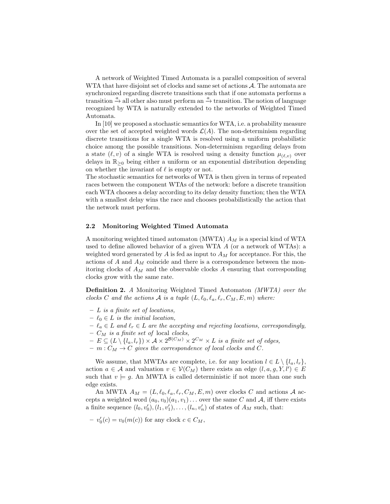A network of Weighted Timed Automata is a parallel composition of several WTA that have disjoint set of clocks and same set of actions  $A$ . The automata are synchronized regarding discrete transitions such that if one automata performs a transition  $\stackrel{a}{\rightarrow}$  all other also must perform an  $\stackrel{a}{\rightarrow}$  transition. The notion of language recognized by WTA is naturally extended to the networks of Weighted Timed Automata.

In [10] we proposed a stochastic semantics for WTA, i.e. a probability measure over the set of accepted weighted words  $\mathcal{L}(A)$ . The non-determinism regarding discrete transitions for a single WTA is resolved using a uniform probabilistic choice among the possible transitions. Non-determinism regarding delays from a state  $(\ell, v)$  of a single WTA is resolved using a density function  $\mu_{(\ell, v)}$  over delays in  $\mathbb{R}_{\geq 0}$  being either a uniform or an exponential distribution depending on whether the invariant of  $\ell$  is empty or not.

The stochastic semantics for networks of WTA is then given in terms of repeated races between the component WTAs of the network: before a discrete transition each WTA chooses a delay according to its delay density function; then the WTA with a smallest delay wins the race and chooses probabilistically the action that the network must perform.

#### **2.2 Monitoring Weighted Timed Automata**

A monitoring weighted timed automaton (MWTA)  $A_M$  is a special kind of WTA used to define allowed behavior of a given WTA A (or a network of WTAs): a weighted word generated by A is fed as input to  $A_M$  for acceptance. For this, the actions of  $A$  and  $A_M$  coincide and there is a correspondence between the monitoring clocks of  $A_M$  and the observable clocks A ensuring that corresponding clocks grow with the same rate.

**Definition 2.** *A* Monitoring Weighted Timed Automaton *(MWTA) over the clocks* C and the actions A is a tuple  $(L, \ell_0, \ell_a, \ell_r, C_M, E, m)$  where:

- **–** L *is a finite set of locations,*
- $\ell_0 \in L$  *is the initial location,*
- $− \ell_a ∈ L$  *and*  $\ell_r ∈ L$  *are the accepting and rejecting locations, correspondingly,*
- **–** C<sup>M</sup> *is a finite set of* local *clocks,*
- $E \subseteq (L \setminus \{l_a, l_r\}) \times \mathcal{A} \times 2^{\mathcal{B}(C_M)} \times 2^{C_M} \times L$  *is a finite set of edges,*
- $m : C_M \to C$  gives the correspondence of local clocks and C.

We assume, that MWTAs are complete, i.e. for any location  $l \in L \setminus \{l_a, l_r\}$ , action  $a \in \mathcal{A}$  and valuation  $v \in \mathcal{V}(C_M)$  there exists an edge  $(l, a, g, Y, l') \in E$ such that  $v \models g$ . An MWTA is called deterministic if not more than one such edge exists.

An MWTA  $A_M = (L, \ell_0, \ell_a, \ell_r, C_M, E, m)$  over clocks C and actions A accepts a weighted word  $(a_0, v_0)(a_1, v_1) \dots$  over the same C and A, iff there exists a finite sequence  $(l_0, v'_0), (l_1, v'_1), \ldots, (l_n, v'_n)$  of states of  $A_M$  such, that:

 $- v'_0(c) = v_0(m(c))$  for any clock  $c \in C_M$ ,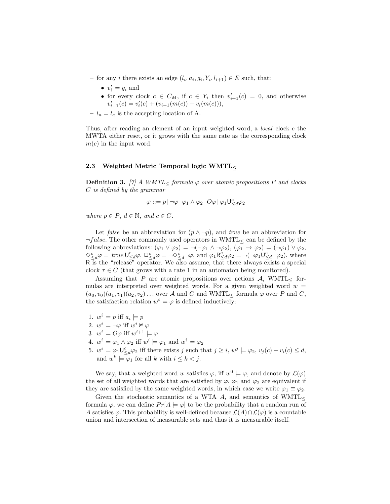- for any *i* there exists an edge  $(l_i, a_i, g_i, Y_i, l_{i+1}) \in E$  such, that:
	- $v'_i \models g_i$  and
	- for every clock  $c \in C_M$ , if  $c \in Y_i$  then  $v'_{i+1}(c) = 0$ , and otherwise  $v'_{i+1}(c) = v'_{i}(c) + (v_{i+1}(m(c)) - v_{i}(m(c))),$
- $-l_n = l_a$  is the accepting location of A.

Thus, after reading an element of an input weighted word, a *local* clock c the MWTA either reset, or it grows with the same rate as the corresponding clock  $m(c)$  in the input word.

#### **2.3 Weighted Metric Temporal logic WMTL***<sup>≤</sup>*

**Definition 3.** [7] A WMTL< formula  $\varphi$  over atomic propositions P and clocks C *is defined by the grammar*

$$
\varphi ::= p \, | \, \neg \varphi \, | \, \varphi_1 \wedge \varphi_2 \, | \, O \varphi \, | \, \varphi_1 \mathsf{U}^c_{\leq d} \varphi_2
$$

*where*  $p \in P$ *,*  $d \in \mathbb{N}$ *, and*  $c \in C$ *.* 

Let *false* be an abbreviation for  $(p \land \neg p)$ , and *true* be an abbreviation for  $\neg false$ . The other commonly used operators in WMTL $\lt$  can be defined by the following abbreviations:  $(\varphi_1 \lor \varphi_2) = \neg(\neg \varphi_1 \land \neg \varphi_2), (\varphi_1 \to \varphi_2) = (\neg \varphi_1) \lor \varphi_2$ ,  $\Diamond^c_{\leq d} \varphi = true \mathsf{U}^c_{\leq d} \varphi$ ,  $\Box^c_{\leq d} \varphi = \neg \Diamond^c_{\leq d} \neg \varphi$ , and  $\varphi_1 \mathsf{R}^c_{\leq d} \varphi_2 = \neg (\neg \varphi_1 \mathsf{U}^c_{\leq d} \neg \varphi_2)$ , where R is the "release" operator. We also assume, that there always exists a special clock  $\tau \in C$  (that grows with a rate 1 in an automaton being monitored).

Assuming that P are atomic propositions over actions  $A$ , WMTL $<$  formulas are interpreted over weighted words. For a given weighted word  $w =$  $(a_0, v_0)(a_1, v_1)(a_2, v_2) \dots$  over A and C and WMTL<sub><</sub> formula  $\varphi$  over P and C, the satisfaction relation  $w^i \models \varphi$  is defined inductively:

- 1.  $w^i \models p$  iff  $a_i \models p$
- 2.  $w^i \models \neg \varphi$  iff  $w^i \nvDash \varphi$
- 3.  $w^i \models O\varphi$  iff  $w^{i+1} \models \varphi$
- 4.  $w^i \models \varphi_1 \land \varphi_2$  iff  $w^i \models \varphi_1$  and  $w^i \models \varphi_2$
- 5.  $w^i \models \varphi_1 \mathsf{U}^c_{\leq d} \varphi_2$  iff there exists j such that  $j \geq i$ ,  $w^j \models \varphi_2$ ,  $v_j(c) v_i(c) \leq d$ , and  $w^k \models \varphi_1$  for all k with  $i \leq k < j$ .

We say, that a weighted word w satisfies  $\varphi$ , iff  $w^0 \models \varphi$ , and denote by  $\mathcal{L}(\varphi)$ the set of all weighted words that are satisfied by  $\varphi$ .  $\varphi_1$  and  $\varphi_2$  are equivalent if they are satisfied by the same weighted words, in which case we write  $\varphi_1 \equiv \varphi_2$ .

Given the stochastic semantics of a WTA A, and semantics of WMTL $<$ formula  $\varphi$ , we can define  $Pr[A \models \varphi]$  to be the probability that a random run of A satisfies  $\varphi$ . This probability is well-defined because  $\mathcal{L}(A) \cap \mathcal{L}(\varphi)$  is a countable union and intersection of measurable sets and thus it is measurable itself.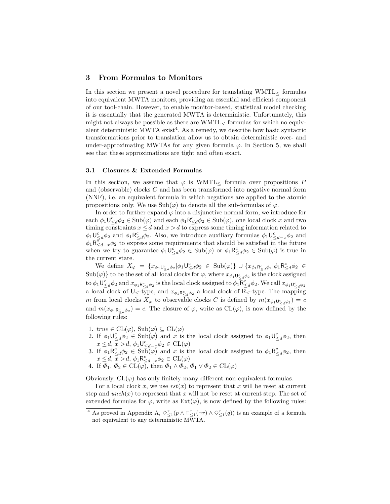#### **3 From Formulas to Monitors**

In this section we present a novel procedure for translating  $WMTL<sub>≤</sub>$  formulas into equivalent MWTA monitors, providing an essential and efficient component of our tool-chain. However, to enable monitor-based, statistical model checking it is essentially that the generated MWTA is deterministic. Unfortunately, this might not always be possible as there are  $\text{WMTL}$  formulas for which no equivalent deterministic MWTA exist<sup>4</sup>. As a remedy, we describe how basic syntactic transformations prior to translation allow us to obtain deterministic over- and under-approximating MWTAs for any given formula  $\varphi$ . In Section 5, we shall see that these approximations are tight and often exact.

#### **3.1 Closures & Extended Formulas**

In this section, we assume that  $\varphi$  is WMTL $\lt$  formula over propositions P and (observable) clocks C and has been transformed into negative normal form (NNF), i.e. an equivalent formula in which negations are applied to the atomic propositions only. We use  $\text{Sub}(\varphi)$  to denote all the sub-formulas of  $\varphi$ .

In order to further expand  $\varphi$  into a disjunctive normal form, we introduce for each  $\phi_1 \mathsf{U}^c_{\leq d} \phi_2 \in \text{Sub}(\varphi)$  and each  $\phi_1 \mathsf{R}^c_{\leq d} \phi_2 \in \text{Sub}(\varphi)$ , one local clock x and two timing constraints  $x \leq d$  and  $x > d$  to express some timing information related to  $\phi_1 \mathsf{U}^c_{\leq d} \phi_2$  and  $\phi_1 \mathsf{R}^c_{\leq d} \phi_2$ . Also, we introduce auxiliary formulas  $\phi_1 \mathsf{U}^c_{\leq d-x} \phi_2$  and  $\phi_1 \overline{\mathsf{R}_{\leq d-x}^c} \phi_2$  to express some requirements that should be satisfied in the future when we try to guarantee  $\phi_1 \mathsf{U}^c_{\leq d} \phi_2 \in \text{Sub}(\varphi)$  or  $\phi_1 \mathsf{R}^c_{\leq d} \phi_2 \in \text{Sub}(\varphi)$  is true in the current state.

We define  $X_{\varphi} = \{x_{\phi_1 \cup_{\leq d}^c \phi_2} | \phi_1 \cup_{\leq d}^c \phi_2 \in \text{Sub}(\varphi)\} \cup \{x_{\phi_1 \mathsf{R}_{\leq d}^c \phi_2} | \phi_1 \mathsf{R}_{\leq d}^c \phi_2 \in \mathcal{A}\}$  $\mathrm{Sub}(\varphi)\}$  to be the set of all local clocks for  $\varphi$ , where  $x_{\phi_1\cup_{\leq d}^c\phi_2}$  is the clock assigned to  $\phi_1 \mathsf{U}^c_{\leq d} \phi_2$  and  $x_{\phi_1 \mathsf{R}^c_{\leq d} \phi_2}$  is the local clock assigned to  $\phi_1 \mathsf{R}^c_{\leq d} \phi_2$ . We call  $x_{\phi_1 \mathsf{U}^c_{\leq d} \phi_2}$ a local clock of  $\mathsf{U}_{\leq}$ -type, and  $x_{\phi_1 \mathsf{R}_{\leq d}^c \phi_2}$  a local clock of  $\mathsf{R}_{\leq}$ -type. The mapping m from local clocks  $X_{\varphi}$  to observable clocks C is defined by  $m(x_{\phi_1 \mathsf{U}^c_{\leq d} \phi_2}) = c$ and  $m(x_{\phi_1 \mathsf{R}_{\leq d}^c \phi_2}) = c$ . The closure of  $\varphi$ , write as  $\mathrm{CL}(\varphi)$ , is now defined by the following rules:

- 1.  $true \in CL(\varphi), Sub(\varphi) \subseteq CL(\varphi)$
- 2. If  $\phi_1 \cup_{\leq d}^c \phi_2 \in \text{Sub}(\varphi)$  and x is the local clock assigned to  $\phi_1 \cup_{\leq d}^c \phi_2$ , then  $x \leq d, \overline{x} > d, \phi_1 \cup_{\leq d-x}^c \phi_2 \in CL(\varphi)$
- 3. If  $\phi_1 \mathsf{R}^c_{\leq d} \phi_2 \in \text{Sub}(\varphi)$  and x is the local clock assigned to  $\phi_1 \mathsf{R}^c_{\leq d} \phi_2$ , then  $x \leq d, \overline{x} > d, \phi_1 \mathsf{R}_{\leq d-x}^c \phi_2 \in \mathrm{CL}(\varphi)$
- 4. If  $\Phi_1, \Phi_2 \in CL(\varphi)$ , then  $\Phi_1 \wedge \Phi_2, \Phi_1 \vee \Phi_2 \in CL(\varphi)$

Obviously,  $CL(\varphi)$  has only finitely many different non-equivalent formulas.

For a local clock x, we use  $rst(x)$  to represent that x will be reset at current step and  $\text{unch}(x)$  to represent that x will not be reset at current step. The set of extended formulas for  $\varphi$ , write as  $\text{Ext}(\varphi)$ , is now defined by the following rules:

<sup>&</sup>lt;sup>4</sup> As proved in Appendix A,  $\diamondsuit_{\leq 1}^{\tau}(p \wedge \Box_{\leq 1}^{\tau}(\neg r) \wedge \diamondsuit_{\leq 1}^{\tau}(q))$  is an example of a formula not equivalent to any deterministic MWTA.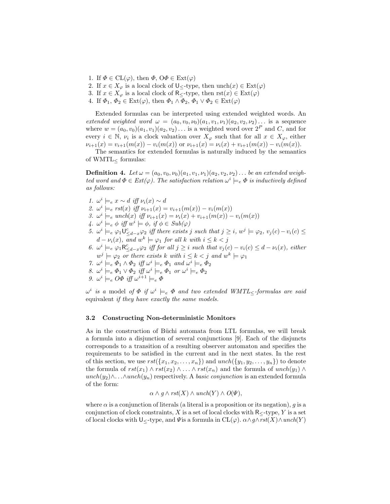- 1. If  $\Phi \in CL(\varphi)$ , then  $\Phi$ ,  $\Theta \Phi \in Ext(\varphi)$
- 2. If  $x \in X_{\varphi}$  is a local clock of  $\bigcup_{\leq x}$ -type, then unch $(x) \in \text{Ext}(\varphi)$
- 3. If  $x \in X_{\varphi}$  is a local clock of R<sub>≤</sub>-type, then  $\mathrm{rst}(x) \in \mathrm{Ext}(\varphi)$
- 4. If  $\Phi_1, \Phi_2 \in \text{Ext}(\varphi)$ , then  $\Phi_1 \wedge \Phi_2, \Phi_1 \vee \Phi_2 \in \text{Ext}(\varphi)$

Extended formulas can be interpreted using extended weighted words. An *extended weighted word*  $\omega = (a_0, v_0, v_0)(a_1, v_1, v_1)(a_2, v_2, v_2) \dots$  is a sequence where  $w = (a_0, v_0)(a_1, v_1)(a_2, v_2) \dots$  is a weighted word over  $2^P$  and C, and for every  $i \in \mathbb{N}$ ,  $\nu_i$  is a clock valuation over  $X_{\varphi}$  such that for all  $x \in X_{\varphi}$ , either  $\nu_{i+1}(x) = v_{i+1}(m(x)) - v_i(m(x))$  or  $\nu_{i+1}(x) = \nu_i(x) + v_{i+1}(m(x)) - v_i(m(x)).$ 

The semantics for extended formulas is naturally induced by the semantics of  $WMTL$  formulas:

**Definition 4.** Let  $\omega = (a_0, v_0, \nu_0)(a_1, v_1, \nu_1)(a_2, v_2, \nu_2) \dots$  be an extended weigh*ted word and*  $\Phi \in \text{Ext}(\varphi)$ . The satisfaction relation  $\omega^i \models_e \Phi$  *is inductively defined as follows:*

*1.*  $\omega^i$   $\models$ <sub>*e*</sub>  $x \sim d$  *iff*  $\nu_i(x) \sim d$ 2.  $\omega^i \models_{e} \text{rst}(x) \text{ iff } \nu_{i+1}(x) = \nu_{i+1}(m(x)) - \nu_{i}(m(x))$ *3.*  $\omega^{i} \models_{e} \text{unch}(x) \text{ iff } \nu_{i+1}(x) = \nu_{i}(x) + \nu_{i+1}(m(x)) - \nu_{i}(m(x))$ *4.*  $\omega^i \models_e \phi \text{ iff } w^i \models \phi, \text{ if } \phi \in Sub(\varphi)$ *5.*  $\omega^{i} \models_{e} \varphi_{1} \mathsf{U}^{c}_{\leq d-x} \varphi_{2}$  *iff there exists* j *such that*  $j \geq i$ ,  $\omega^{j} \models \varphi_{2}, v_{j}(c) - v_{i}(c) \leq$  $d - \nu_i(x)$ , and  $w^k \models \varphi_1$  for all k with  $i \leq k < j$ 6.  $\omega^i \models_e \varphi_1 \mathsf{R}_{\leq d-x}^c \varphi_2$  *iff for all*  $j \geq i$  *such that*  $v_j(c) - v_i(c) \leq d - v_i(x)$ *, either*  $w^j \models \varphi_2$  *or there exists* k *with*  $i \leq k < j$  *and*  $w^k \models \varphi_1$ *7.*  $\omega^i \models_e \Phi_1 \land \Phi_2$  *iff*  $\omega^i \models_e \Phi_1$  *and*  $\omega^i \models_e \Phi_2$ *8.*  $\omega^i \models_e \Phi_1 \lor \Phi_2$  *iff*  $\omega^i \models_e \Phi_1$  *or*  $\omega^i \models_e \Phi_2$ *9.*  $\omega^i \models_e O\Phi$  *iff*  $\omega^{i+1} \models_e \Phi$ 

 $\omega^i$  *is a* model *of*  $\Phi$  *if*  $\omega^i \models_e \Phi$  *and two extended WMTL*<*formulas are said* equivalent *if they have exactly the same models.*

#### **3.2 Constructing Non-deterministic Monitors**

As in the construction of Büchi automata from LTL formulas, we will break a formula into a disjunction of several conjunctions [9]. Each of the disjuncts corresponds to a transition of a resulting observer automaton and specifies the requirements to be satisfied in the current and in the next states. In the rest of this section, we use  $rst({x_1, x_2,...,x_n})$  and  $unch({y_1, y_2,..., y_n})$  to denote the formula of  $rst(x_1) \wedge rst(x_2) \wedge ... \wedge rst(x_n)$  and the formula of  $unch(y_1) \wedge ...$ unch(y<sub>2</sub>)∧...∧unch(y<sub>n</sub>) respectively. A *basic conjunction* is an extended formula of the form:

$$
\alpha \wedge g \wedge \text{rst}(X) \wedge \text{unch}(Y) \wedge O(\Psi),
$$

where  $\alpha$  is a conjunction of literals (a literal is a proposition or its negation), q is a conjunction of clock constraints,  $X$  is a set of local clocks with  $R$ <-type,  $Y$  is a set of local clocks with U<sub><</sub>-type, and  $\Psi$  is a formula in  $CL(\varphi)$ .  $\alpha \wedge g \wedge rst(X) \wedge unch(Y)$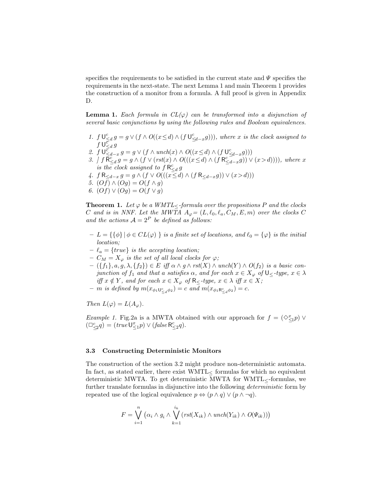specifies the requirements to be satisfied in the current state and  $\Psi$  specifies the requirements in the next-state. The next Lemma 1 and main Theorem 1 provides the construction of a monitor from a formula. A full proof is given in Appendix D.

**Lemma 1.** *Each formula in*  $CL(\varphi)$  *can be transformed into a disjunction of several basic conjunctions by using the following rules and Boolean equivalences.*

- 1.  $f \cup_{\leq d}^c g = g \vee (f \wedge O((x \leq d) \wedge (f \cup_{\leq d-x}^c g)))$ , where x is the clock assigned to  $f \bigcup_{\leq d}^{\overline{c}} g$
- 2.  $f \cup \overline{\xi}_{d-x} g = g \vee (f \wedge \text{unch}(x) \wedge O((x \le d) \wedge (f \cup \underline{\xi}_{d-x} g)))$
- 3.  $\int f \overline{R}_{\leq d}^c g = g \wedge (f \vee (rst(x) \wedge O(((x \leq d) \wedge (f R_{\leq d-x}^c g)) \vee (x > d))))$ , where x *is the clock assigned to*  $f R_{\le d}^c g$
- *4.*  $f R_{\leq d-x} g = g \wedge (f \vee O(((x \leq d) \wedge (f R_{\leq d-x} g)) \vee (x > d)))$
- *5.*  $(Of) ∧ (Og) = O(f ∧ g)$
- *6.* (*Of*) ∨ (*Og*) =  $O(f \vee g)$

**Theorem 1.** *Let*  $\varphi$  *be a WMTL*<*-formula over the propositions* P *and the clocks* C and is in NNF. Let the MWTA  $A_{\varphi} = (L, \ell_0, \ell_a, C_M, E, m)$  over the clocks C and the actions  $A = 2^P$  be defined as follows:

- $\{-L = {\{\phi\}} \mid \phi \in CL(\varphi) \}$  *is a finite set of locations, and*  $\ell_0 = {\varphi}$  *is the initial location;*
- $-\ell_a = \{true\}$  *is the accepting location;*
- $-C_M = X_\varphi$  *is the set of all local clocks for*  $\varphi$ *;*
- **–** ({f1}, a, g, λ, {f2}) ∈ E *iff* α ∧ *g* ∧ *rst*(X) ∧ *unch*(Y ) ∧ *O*(f2) *is a basic conjunction of*  $f_1$  *and that a satisfies*  $\alpha$ *, and for each*  $x \in X_\varphi$  *of*  $\bigcup_{z \in f} f(y) = \alpha$ *iff*  $x \notin Y$ *, and for each*  $x \in X_{\varphi}$  *of*  $R_{\leq Y}$  *type,*  $x \in \lambda$  *iff*  $x \in X$ *;*
- $-$  *m is defined by*  $m(x_{\phi_1}v_{\leq d} \phi_2) = c$  *and*  $m(x_{\phi_1}R_{\leq d} \phi_2) = c$ *.*

*Then*  $L(\varphi) = L(A_{\varphi})$ *.* 

*Example 1.* Fig.2a is a MWTA obtained with our approach for  $f = (\Diamond_{\leq 1}^x p) \vee$  $(\Box_{\leq 2}^c q) = (true \cup_{\leq 1}^x p) \vee (false \mathsf{R}_{\leq 2}^c q).$ 

#### **3.3 Constructing Deterministic Monitors**

The construction of the section 3.2 might produce non-deterministic automata. In fact, as stated earlier, there exist  $WMTL<$  formulas for which no equivalent deterministic MWTA. To get deterministic MWTA for WMTL<-formulas, we further translate formulas in disjunctive into the following *deterministic* form by repeated use of the logical equivalence  $p \Leftrightarrow (p \wedge q) \vee (p \wedge \neg q)$ .

$$
F = \bigvee_{i=1}^{n} (\alpha_i \wedge g_i \wedge \bigvee_{k=1}^{i_k} (rst(X_{ik}) \wedge unch(Y_{ik}) \wedge O(\Psi_{ik})))
$$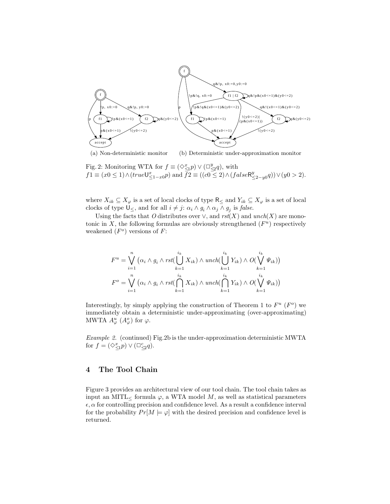

(a) Non-deterministic monitor (b) Deterministic under-approximation monitor

Fig. 2: Monitoring WTA for  $f \equiv (\diamond \leq p) \vee (\square \leq q)$ , with  $f1 \equiv (x0 \le 1) \wedge (true \cup_{\le 1-x0}^x p)$  and  $\bar{f2} \equiv ((c0 \le 2) \wedge (false \mathsf{R}_{\le 2-y0}^y q)) \vee (y0 > 2).$ 

where  $X_{ik} \subseteq X_{\varphi}$  is a set of local clocks of type  $\mathsf{R}_{\leq}$  and  $Y_{ik} \subseteq X_{\varphi}$  is a set of local clocks of type  $\mathsf{U}_{\leq}$ , and for all  $i \neq j$ :  $\alpha_i \wedge g_i \wedge \alpha_j \wedge g_j$  is *false*.

Using the facts that *O* distributes over  $\vee$ , and  $rst(X)$  and  $unch(X)$  are monotonic in X, the following formulas are obviously strengthened  $(F^u)$  respectively weakened  $(F^o)$  versions of F:

$$
F^{u} = \bigvee_{i=1}^{n} (\alpha_{i} \wedge g_{i} \wedge \text{rst}(\bigcup_{k=1}^{i_{k}} X_{ik}) \wedge \text{unch}(\bigcup_{k=1}^{i_{k}} Y_{ik}) \wedge O(\bigvee_{k=1}^{i_{k}} \Psi_{ik}))
$$
  

$$
F^{o} = \bigvee_{i=1}^{n} (\alpha_{i} \wedge g_{i} \wedge \text{rst}(\bigcap_{k=1}^{i_{k}} X_{ik}) \wedge \text{unch}(\bigcap_{k=1}^{i_{k}} Y_{ik}) \wedge O(\bigvee_{k=1}^{i_{k}} \Psi_{ik}))
$$

Interestingly, by simply applying the construction of Theorem 1 to  $F^u$  ( $F^o$ ) we immediately obtain a deterministic under-approximating (over-approximating) MWTA  $A^u_\varphi$   $(A^o_\varphi)$  for  $\varphi$ .

*Example 2.* (continued) Fig.2b is the under-approximation deterministic MWTA for  $f = (\Diamond_{\leq 1}^x p) \vee (\Box_{\leq 2}^c q)$ .

## **4 The Tool Chain**

Figure 3 provides an architectural view of our tool chain. The tool chain takes as input an MITL $<$  formula  $\varphi$ , a WTA model M, as well as statistical parameters  $\epsilon, \alpha$  for controlling precision and confidence level. As a result a confidence interval for the probability  $Pr[M \models \varphi]$  with the desired precision and confidence level is returned.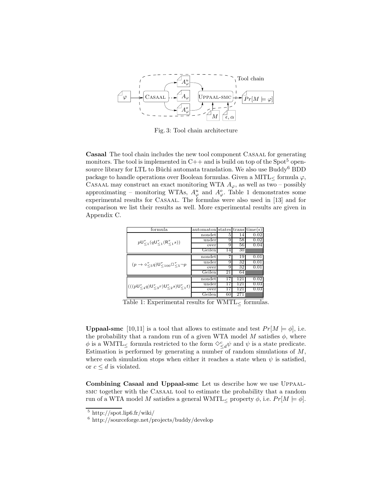

Fig. 3: Tool chain architecture

**Casaal** The tool chain includes the new tool component Casaal for generating monitors. The tool is implemented in  $C++$  and is build on top of the Spot<sup>5</sup> opensource library for LTL to Büchi automata translation. We also use Buddy<sup>6</sup> BDD package to handle operations over Boolean formulas. Given a MITL $<$  formula  $\varphi$ , CASAAL may construct an exact monitoring WTA  $A_{\varphi}$ , as well as two – possibly approximating – monitoring WTAs,  $A^u_\varphi$  and  $A^o_\varphi$ . Table 1 demonstrates some experimental results for CASAAL. The formulas were also used in [13] and for comparison we list their results as well. More experimental results are given in Appendix C.

| formula                                                                                  | automaton states transtime(s) |    |     |      |
|------------------------------------------------------------------------------------------|-------------------------------|----|-----|------|
|                                                                                          | nondet                        | 5  | 14  | 0.02 |
| $pU_{\leq 1}^{\tau}(qU_{\leq 1}^{\tau}(R_{\leq 1}^{\tau}s))$                             | under                         | 9  | 58  | 0.02 |
|                                                                                          | over                          | 9  | 56  | 0.04 |
|                                                                                          | Geilen                        | 14 | 30  |      |
|                                                                                          | nondet                        | 7  | 19  | 0.01 |
|                                                                                          | under                         | 9  | 32  | 0.01 |
| $(p \rightarrow \diamond \zeta_5 q) \mathsf{U}^{\tau}_{\leq 100} \square \zeta_5 \neg p$ | over                          | 9  | 32  | 0.01 |
|                                                                                          | Geilen                        | 21 | 64  |      |
|                                                                                          | nondet                        | 17 | 121 | 0.02 |
| $(((pU_{\leq 4}^{\tau}q)U_{\leq 3}^{\tau}r)U_{\leq 2}^{\tau}s)U_{\leq 1}^{\tau}t)$       | under                         | 17 | 121 | 0.03 |
|                                                                                          | over                          | 17 | 121 | 0.03 |
|                                                                                          | Geilen                        | 60 | 271 |      |

Table 1: Experimental results for  $\text{WMTL}_{\leq}$  formulas.

**Uppaal-smc** [10,11] is a tool that allows to estimate and test  $Pr[M \models \phi]$ , i.e. the probability that a random run of a given WTA model  $M$  satisfies  $\phi$ , where  $\phi$  is a WMTL $\leq$  formula restricted to the form  $\Diamond^c_{\leq d} \psi$  and  $\psi$  is a state predicate. Estimation is performed by generating a number of random simulations of  $M$ , where each simulation stops when either it reaches a state when  $\psi$  is satisfied, or  $c \leq d$  is violated.

**Combining Casaal and Uppaal-smc** Let us describe how we use Uppaalsmc together with the Casaal tool to estimate the probability that a random run of a WTA model M satisfies a general WMTL $\lt$  property  $\phi$ , i.e.  $Pr[M \models \phi]$ .

<sup>5</sup> http://spot.lip6.fr/wiki/

<sup>6</sup> http://sourceforge.net/projects/buddy/develop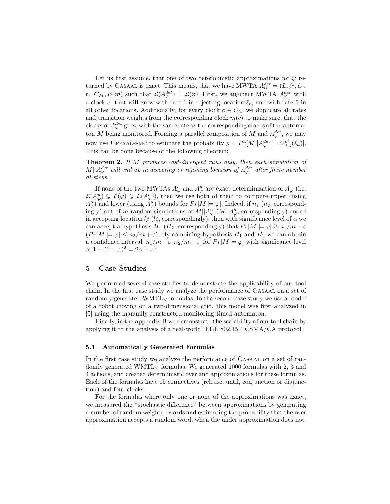Let us first assume, that one of two deterministic approximations for  $\varphi$  returned by CASAAL is exact. This means, that we have MWTA  $A_{\varphi}^{det} = (L, \ell_0, \ell_a, \ell_a)$  $\ell_r, C_M, E, m$  such that  $\mathcal{L}(A^{det}_{\varphi}) = \mathcal{L}(\varphi)$ . First, we augment MWTA  $A^{det}_{\varphi}$  with a clock  $c^{\dagger}$  that will grow with rate 1 in rejecting location  $\ell_r$ , and with rate 0 in all other locations. Additionally, for every clock  $c \in C_M$  we duplicate all rates and transition weights from the corresponding clock  $m(c)$  to make sure, that the clocks of  $A_{\varphi}^{det}$  grow with the same rate as the corresponding clocks of the automaton M being monitored. Forming a parallel composition of M and  $A_{\varphi}^{det}$ , we may now use UPPAAL-SMC to estimate the probability  $p = Pr[M||A^{det}_{\varphi} \models \Diamond_{\leq 1}^{c^{\dagger}}(\ell_a)].$ This can be done because of the following theorem:

**Theorem 2.** *If* M *produces cost-divergent runs only, then each simulation of*  $M||A^{det}_{\varphi}$  will end up in accepting or rejecting location of  $A^{det}_{\varphi}$  after finite number *of steps.*

If none of the two MWTAs  $A^o_\varphi$  and  $A^u_\varphi$  are exact determinization of  $A_\varphi$  (i.e.  $\mathcal{L}(A^u_{\varphi}) \subsetneq \mathcal{L}(\varphi) \subsetneq \mathcal{L}(A^o_{\varphi})$ , then we use both of them to compute upper (using  $A^o_\varphi$  and lower (using  $A^u_\varphi$ ) bounds for  $Pr[M \models \varphi]$ . Indeed, if  $n_1$  ( $n_2$ , correspondingly) out of m random simulations of  $M||A^u_{\varphi}(M||A^o_{\varphi},$  correspondingly) ended in accepting location  $l_a^u$  ( $l_a^o$ , correspondingly), then with significance level of  $\alpha$  we can accept a hypothesis  $H_1$  ( $H_2$ , correspondingly) that  $Pr[M \models \varphi] \ge n_1/m - \varepsilon$  $(Pr[M \models \varphi] \le n_2/m + \varepsilon)$ . By combining hypothesis  $H_1$  and  $H_2$  we can obtain a confidence interval  $[n_1/m - \varepsilon, n_2/m + \varepsilon]$  for  $Pr[M \models \varphi]$  with significance level of  $1 - (1 - \alpha)^2 = 2\alpha - \alpha^2$ .

## **5 Case Studies**

We performed several case studies to demonstrate the applicability of our tool chain. In the first case study we analyze the performance of Casaal on a set of randomly generated  $WMTL<$  formulas. In the second case study we use a model of a robot moving on a two-dimensional grid, this model was first analyzed in [5] using the manually constructed monitoring timed automaton.

Finally, in the appendix B we demonstrate the scalability of our tool chain by applying it to the analysis of a real-world IEEE 802.15.4 CSMA/CA protocol.

#### **5.1 Automatically Generated Formulas**

In the first case study we analyze the performance of CASAAL on a set of randomly generated WMTL< formulas. We generated 1000 formulas with 2, 3 and 4 actions, and created deterministic over and approximations for these formulas. Each of the formulas have 15 connectives (release, until, conjunction or disjunction) and four clocks.

For the formulas where only one or none of the approximations was exact, we measured the "stochastic difference" between approximations by generating a number of random weighted words and estimating the probability that the over approximation accepts a random word, when the under approximation does not.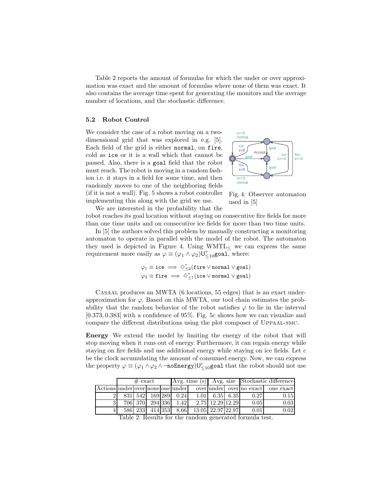Table 2 reports the amount of formulas for which the under or over approximation was exact and the amount of formulas where none of them was exact. It also contains the average time spent for generating the monitors and the average number of locations, and the stochastic difference.

#### **5.2 Robot Control**

We consider the case of a robot moving on a twodimensional grid that was explored in e.g. [5]. Each field of the grid is either normal, on fire, cold as ice or it is a wall which that cannot be passed. Also, there is a goal field that the robot must reach. The robot is moving in a random fashion i.e. it stays in a field for some time, and then randomly moves to one of the neighboring fields (if it is not a wall). Fig. 5 shows a robot controller implementing this along with the grid we use.



Fig. 4: Observer automaton used in [5]

We are interested in the probability that the robot reaches its goal location without staying on consecutive fire fields for more than one time units and on consecutive ice fields for more than two time units.

In [5] the authors solved this problem by manually constructing a monitoring automaton to operate in parallel with the model of the robot. The automaton they used is depicted in Figure 4. Using  $WMTL$  we can express the same requirement more easily as  $\varphi \equiv (\varphi_1 \wedge \varphi_2) \mathbf{U}_{\leq 10}^{\tau}$  goal, where:

$$
\varphi_1 \equiv \texttt{ice} \implies \Diamond_{\leq 2}^{\tau}(\texttt{fire} \lor \texttt{normal} \lor \texttt{goal})
$$

$$
\varphi_2 \equiv \texttt{fire} \implies \Diamond_{\leq 1}^{\tau}(\texttt{ice} \lor \texttt{normal} \lor \texttt{goal})
$$

Casaal produces an MWTA (6 locations, 55 edges) that is an exact underapproximation for  $\varphi$ . Based on this MWTA, our tool chain estimates the probability that the random behavior of the robot satisfies  $\varphi$  to lie in the interval [0.373, 0.383] with a confidence of 95%. Fig. 5c shows how we can visualize and compare the different distributions using the plot composer of Uppaal-smc.

**Energy** We extend the model by limiting the energy of the robot that will stop moving when it runs out of energy. Furthermore, it can regain energy while staying on fire fields and use additional energy while staying on ice fields. Let  $c$ be the clock accumulating the amount of consumed energy. Now, we can express the property  $\varphi \equiv (\varphi_1 \wedge \varphi_2 \wedge \neg \texttt{noEnergy}) \cup_{\leq 10}^c$  goal that the robot should not use

|                                   | $#$ exact |     |                 |  |                  |                   |                  | Avg. time (s) Avg. size Stochastic difference |      |                                        |
|-----------------------------------|-----------|-----|-----------------|--|------------------|-------------------|------------------|-----------------------------------------------|------|----------------------------------------|
| Actions under over none one under |           |     |                 |  |                  |                   |                  |                                               |      | over under   over no exact   one exact |
|                                   | 8311      |     |                 |  | 542 169 289 0.24 | 1.01              |                  | 6.35 6.35                                     | 0.27 | 0.15                                   |
|                                   |           |     | 706 370 294 336 |  | 1.42             |                   | 2.75 12.29 12.29 |                                               | 0.05 | 0.03                                   |
|                                   | 586       | 233 | 414 353         |  | 8.66             | 13.05 22.97 22.97 |                  |                                               | 0.01 | $0.02\,$                               |

Table 2: Results for the random generated formula test.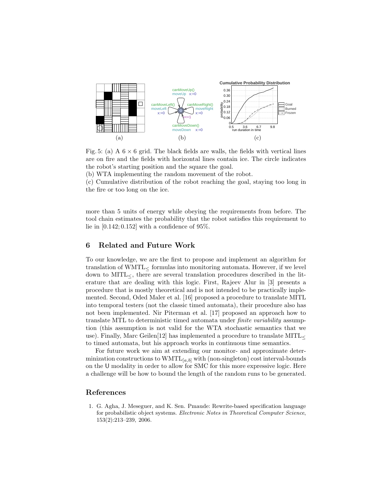

Fig. 5: (a) A  $6 \times 6$  grid. The black fields are walls, the fields with vertical lines are on fire and the fields with horizontal lines contain ice. The circle indicates the robot's starting position and the square the goal.

(b) WTA implementing the random movement of the robot.

(c) Cumulative distribution of the robot reaching the goal, staying too long in the fire or too long on the ice.

more than 5 units of energy while obeying the requirements from before. The tool chain estimates the probability that the robot satisfies this requirement to lie in  $[0.142; 0.152]$  with a confidence of 95%.

## **6 Related and Future Work**

To our knowledge, we are the first to propose and implement an algorithm for translation of  $WMTL<sub>5</sub>$  formulas into monitoring automata. However, if we level down to  $\text{MITL}\ll$ , there are several translation procedures described in the literature that are dealing with this logic. First, Rajeev Alur in [3] presents a procedure that is mostly theoretical and is not intended to be practically implemented. Second, Oded Maler et al. [16] proposed a procedure to translate MITL into temporal testers (not the classic timed automata), their procedure also has not been implemented. Nir Piterman et al. [17] proposed an approach how to translate MTL to deterministic timed automata under *finite variability* assumption (this assumption is not valid for the WTA stochastic semantics that we use). Finally, Marc Geilen $[12]$  has implemented a procedure to translate MITL $<$ to timed automata, but his approach works in continuous time semantics.

For future work we aim at extending our monitor- and approximate determinization constructions to  $\text{WMTL}_{[a,b]}$  with (non-singleton) cost interval-bounds on the U modality in order to allow for SMC for this more expressive logic. Here a challenge will be how to bound the length of the random runs to be generated.

## **References**

1. G. Agha, J. Meseguer, and K. Sen. Pmaude: Rewrite-based specification language for probabilistic object systems. *Electronic Notes in Theoretical Computer Science*, 153(2):213–239, 2006.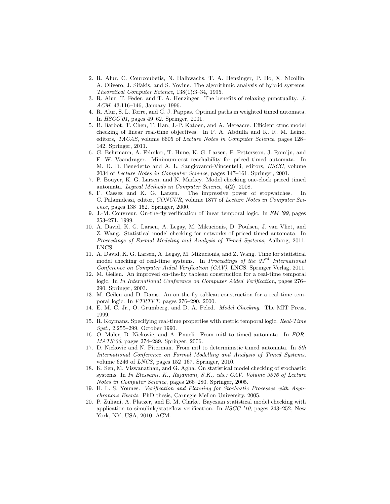- 2. R. Alur, C. Courcoubetis, N. Halbwachs, T. A. Henzinger, P. Ho, X. Nicollin, A. Olivero, J. Sifakis, and S. Yovine. The algorithmic analysis of hybrid systems. *Theoretical Computer Science*, 138(1):3–34, 1995.
- 3. R. Alur, T. Feder, and T. A. Henzinger. The benefits of relaxing punctuality. *J. ACM*, 43:116–146, January 1996.
- 4. R. Alur, S. L. Torre, and G. J. Pappas. Optimal paths in weighted timed automata. In *HSCC'01*, pages 49–62. Springer, 2001.
- 5. B. Barbot, T. Chen, T. Han, J.-P. Katoen, and A. Mereacre. Efficient ctmc model checking of linear real-time objectives. In P. A. Abdulla and K. R. M. Leino, editors, *TACAS*, volume 6605 of *Lecture Notes in Computer Science*, pages 128– 142. Springer, 2011.
- 6. G. Behrmann, A. Fehnker, T. Hune, K. G. Larsen, P. Pettersson, J. Romijn, and F. W. Vaandrager. Minimum-cost reachability for priced timed automata. In M. D. D. Benedetto and A. L. Sangiovanni-Vincentelli, editors, *HSCC*, volume 2034 of *Lecture Notes in Computer Science*, pages 147–161. Springer, 2001.
- 7. P. Bouyer, K. G. Larsen, and N. Markey. Model checking one-clock priced timed automata. *Logical Methods in Computer Science*, 4(2), 2008.
- 8. F. Cassez and K. G. Larsen. The impressive power of stopwatches. In C. Palamidessi, editor, *CONCUR*, volume 1877 of *Lecture Notes in Computer Science*, pages 138–152. Springer, 2000.
- 9. J.-M. Couvreur. On-the-fly verification of linear temporal logic. In *FM '99*, pages 253–271, 1999.
- 10. A. David, K. G. Larsen, A. Legay, M. Mikucionis, D. Poulsen, J. van Vliet, and Z. Wang. Statistical model checking for networks of priced timed automata. In *Proceedings of Formal Modeling and Analysis of Timed Systems*, Aalborg, 2011. LNCS.
- 11. A. David, K. G. Larsen, A. Legay, M. Mikucionis, and Z. Wang. Time for statistical model checking of real-time systems. In *Proceedings of the 23*rd *International Conference on Computer Aided Verification (CAV)*, LNCS. Springer Verlag, 2011.
- 12. M. Geilen. An improved on-the-fly tableau construction for a real-time temporal logic. In *In International Conference on Computer Aided Verification*, pages 276– 290. Springer, 2003.
- 13. M. Geilen and D. Dams. An on-the-fly tableau construction for a real-time temporal logic. In *FTRTFT*, pages 276–290, 2000.
- 14. E. M. C. Jr., O. Grumberg, and D. A. Peled. *Model Checking*. The MIT Press, 1999.
- 15. R. Koymans. Specifying real-time properties with metric temporal logic. *Real-Time Syst.*, 2:255–299, October 1990.
- 16. O. Maler, D. Nickovic, and A. Pnueli. From mitl to timed automata. In *FOR-MATS'06*, pages 274–289. Springer, 2006.
- 17. D. Nickovic and N. Piterman. From mtl to deterministic timed automata. In *8th International Conference on Formal Modelling and Analysis of Timed Systems*, volume 6246 of *LNCS*, pages 152–167. Springer, 2010.
- 18. K. Sen, M. Viswanathan, and G. Agha. On statistical model checking of stochastic systems. In *In Etessami, K., Rajamani, S.K., eds.: CAV. Volume 3576 of Lecture Notes in Computer Science*, pages 266–280. Springer, 2005.
- 19. H. L. S. Younes. *Verification and Planning for Stochastic Processes with Asynchronous Events*. PhD thesis, Carnegie Mellon University, 2005.
- 20. P. Zuliani, A. Platzer, and E. M. Clarke. Bayesian statistical model checking with application to simulink/stateflow verification. In *HSCC '10*, pages 243–252, New York, NY, USA, 2010. ACM.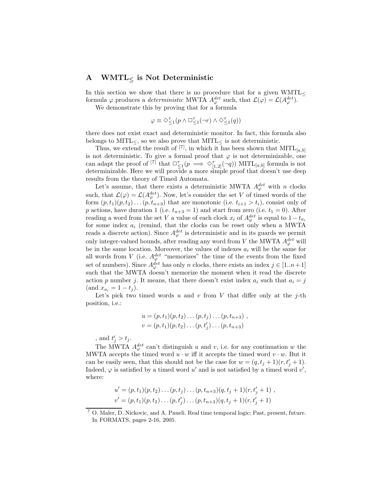## **A WMTL***<sup>≤</sup>* **is Not Deterministic**

In this section we show that there is no procedure that for a given  $\text{WMTL}$ < formula  $\varphi$  produces a *deterministic* MWTA  $A_{\varphi}^{det}$  such, that  $\mathcal{L}(\varphi) = \mathcal{L}(A_{\varphi}^{det})$ .

We demonstrate this by proving that for a formula

$$
\varphi \equiv \Diamond^{\tau}_{\leq 1}(p \land \Box^{\tau}_{\leq 1}(\neg r) \land \Diamond^{\tau}_{\leq 1}(q))
$$

there does not exist exact and deterministic monitor. In fact, this formula also belongs to MITL $<$ , so we also prove that MITL $<$  is not deterministic.

Thus, we extend the result of <sup>[7]</sup>, in which it has been shown that  $\text{MITL}_{[a,b]}$ is not deterministic. To give a formal proof that  $\varphi$  is not determinizable, one can adapt the proof of <sup>[7]</sup> that  $\square^{\tau}_{\leq 1}(p \implies \diamond^{\tau}_{[1,2]}(\neg q))$  MITL<sub>[a,b]</sub> formula is not determinizable. Here we will provide a more simple proof that doesn't use deep results from the theory of Timed Automata.

Let's assume, that there exists a deterministic MWTA  $A_{\varphi}^{det}$  with n clocks such, that  $\mathcal{L}(\varphi) = \mathcal{L}(A^{det}_{\varphi})$ . Now, let's consider the set V of timed words of the form  $(p, t_1)(p, t_2)\dots(p, t_{n+3})$  that are monotonic (i.e.  $t_{i+1} > t_i$ ), consist only of p actions, have duration 1 (i.e.  $t_{n+3} = 1$ ) and start from zero (i.e.  $t_1 = 0$ ). After reading a word from the set V a value of each clock  $x_i$  of  $A_{\varphi}^{det}$  is equal to  $1-t_{a_i}$ for some index  $a_i$  (remind, that the clocks can be reset only when a MWTA reads a discrete action). Since  $A_{\varphi}^{det}$  is deterministic and in its guards we permit only integer-valued bounds, after reading any word from V the MWTA  $A_{\varphi}^{det}$  will be in the same location. Moreover, the values of indexes  $a_i$  will be the same for all words from V (i.e.  $A_{\varphi}^{det}$  "memorizes" the time of the events from the fixed set of numbers). Since  $A_{\varphi}^{det}$  has only n clocks, there exists an index  $j \in [1..n+1]$ such that the MWTA doesn't memorize the moment when it read the discrete action p number j. It means, that there doesn't exist index  $a_i$  such that  $a_i = j$  $(\text{and } x_{a_i} = 1 - t_j).$ 

Let's pick two timed words u and v from V that differ only at the  $i$ -th position, i.e.:

$$
u = (p, t_1)(p, t_2) \dots (p, t_j) \dots (p, t_{n+3}),
$$
  

$$
v = (p, t_1)(p, t_2) \dots (p, t'_j) \dots (p, t_{n+3})
$$

, and  $t'_j > t_j$ .

The MWTA  $A_{\varphi}^{det}$  can't distinguish u and v, i.e. for any continuation w the MWTA accepts the timed word  $u \cdot w$  iff it accepts the timed word  $v \cdot w$ . But it can be easily seen, that this should not be the case for  $w = (q, t_j + 1)(r, t'_j + 1)$ . Indeed,  $\varphi$  is satisfied by a timed word u' and is not satisfied by a timed word  $v'$ , where:

$$
u' = (p, t_1)(p, t_2) \dots (p, t_j) \dots (p, t_{n+3})(q, t_j + 1)(r, t'_j + 1) ,
$$
  

$$
v' = (p, t_1)(p, t_2) \dots (p, t'_j) \dots (p, t_{n+3})(q, t_j + 1)(r, t'_j + 1)
$$

<sup>7</sup> O. Maler, D. Nickovic, and A. Pnueli. Real time temporal logic: Past, present, future. In FORMATS, pages 2-16, 2005.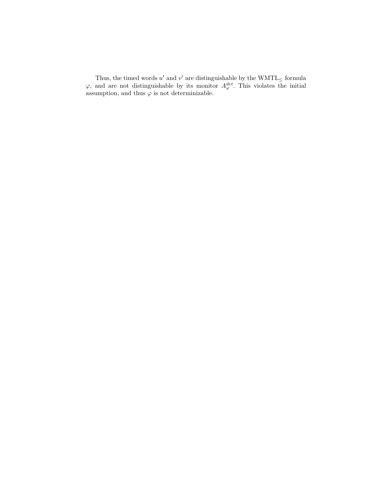Thus, the timed words u' and v' are distinguishable by the  $\text{WMTL}_{\leq}$  formula  $\varphi$ , and are not distinguishable by its monitor  $A_{\varphi}^{det}$ . This violates the initial assumption, and thus  $\varphi$  is not determinizable.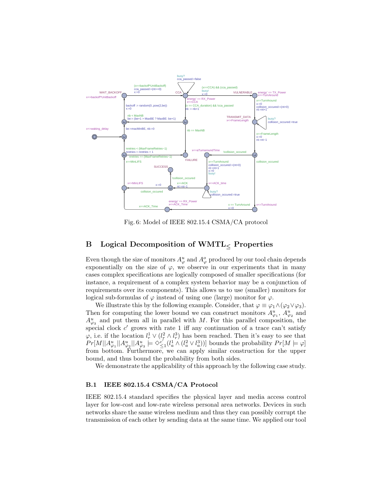

Fig. 6: Model of IEEE 802.15.4 CSMA/CA protocol

## **B Logical Decomposition of WMTL***<sup>≤</sup>* **Properties**

Even though the size of monitors  $A^u_\varphi$  and  $A^o_\varphi$  produced by our tool chain depends exponentially on the size of  $\varphi$ , we observe in our experiments that in many cases complex specifications are logically composed of smaller specifications (for instance, a requirement of a complex system behavior may be a conjunction of requirements over its components). This allows us to use (smaller) monitors for logical sub-formulas of  $\varphi$  instead of using one (large) monitor for  $\varphi$ .

We illustrate this by the following example. Consider, that  $\varphi \equiv \varphi_1 \wedge (\varphi_2 \vee \varphi_3)$ . Then for computing the lower bound we can construct monitors  $A_{\varphi_1}^u$ ,  $A_{\varphi_2}^u$  and  $A_{\varphi_3}^u$  and put them all in parallel with M. For this parallel composition, the special clock  $c'$  grows with rate 1 iff any continuation of a trace can't satisfy  $\varphi$ , i.e. if the location  $l_r^1 \vee (l_r^2 \wedge l_r^3)$  has been reached. Then it's easy to see that  $Pr[M||A^u_{\varphi_1}||A^u_{\varphi_2}||A^u_{\varphi_3} \models \Diamond^{c'}_{\leq 1}(l^1_a \wedge (l^2_a \vee l^3_a))]$  bounds the probability  $Pr[M \models \varphi]$ from bottom. Furthermore, we can apply similar construction for the upper bound, and thus bound the probability from both sides.

We demonstrate the applicability of this approach by the following case study.

#### **B.1 IEEE 802.15.4 CSMA/CA Protocol**

IEEE 802.15.4 standard specifies the physical layer and media access control layer for low-cost and low-rate wireless personal area networks. Devices in such networks share the same wireless medium and thus they can possibly corrupt the transmission of each other by sending data at the same time. We applied our tool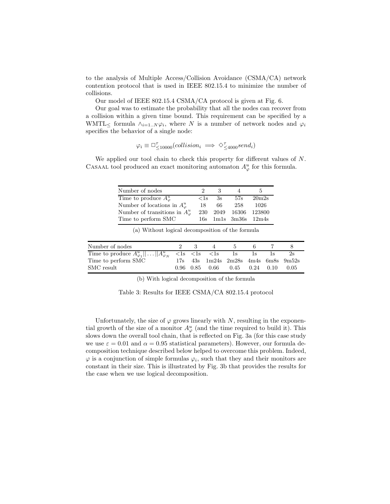to the analysis of Multiple Access/Collision Avoidance (CSMA/CA) network contention protocol that is used in IEEE 802.15.4 to minimize the number of collisions.

Our model of IEEE 802.15.4 CSMA/CA protocol is given at Fig. 6.

Our goal was to estimate the probability that all the nodes can recover from a collision within a given time bound. This requirement can be specified by a WMTL<sub>≤</sub> formula  $\wedge_{i=1..N} \varphi_i$ , where N is a number of network nodes and  $\varphi_i$ specifies the behavior of a single node:

$$
\varphi_i \equiv \Box^{\tau}_{\leq 10000}(collision_i \implies \Diamond^{\tau}_{\leq 4000} send_i)
$$

We applied our tool chain to check this property for different values of N. CASAAL tool produced an exact monitoring automaton  $A^u_\varphi$  for this formula.

| Number of nodes                        | $\cdot$    |    |                        | h.                |
|----------------------------------------|------------|----|------------------------|-------------------|
| Time to produce $A^u_\varphi$          | $\rm < 1s$ | 3s | 57s                    | 20m2s             |
| Number of locations in $A^u_\varphi$   | 18         | 66 | 258                    | 1026              |
| Number of transitions in $A^u_\varphi$ | 230        |    |                        | 2049 16306 123800 |
| Time to perform SMC                    |            |    | $16s$ 1m1s 3m36s 12m4s |                   |

| Number of nodes     | $9 - 3$ | 4 | $\mathbf{a}$                                      | 6. |      |
|---------------------|---------|---|---------------------------------------------------|----|------|
|                     |         |   |                                                   |    |      |
| Time to perform SMC |         |   | $17s$ $43s$ $1m24s$ $2m28s$ $4m4s$ $6m8s$ $9m52s$ |    |      |
| SMC result          |         |   | $0.96$ $0.85$ $0.66$ $0.45$ $0.24$ $0.10$         |    | 0.05 |

(a) Without logical decomposition of the formula

(b) With logical decomposition of the formula

Table 3: Results for IEEE CSMA/CA 802.15.4 protocol

Unfortunately, the size of  $\varphi$  grows linearly with N, resulting in the exponential growth of the size of a monitor  $A^u_\varphi$  (and the time required to build it). This slows down the overall tool chain, that is reflected on Fig. 3a (for this case study we use  $\varepsilon = 0.01$  and  $\alpha = 0.95$  statistical parameters). However, our formula decomposition technique described below helped to overcome this problem. Indeed,  $\varphi$  is a conjunction of simple formulas  $\varphi_i$ , such that they and their monitors are constant in their size. This is illustrated by Fig. 3b that provides the results for the case when we use logical decomposition.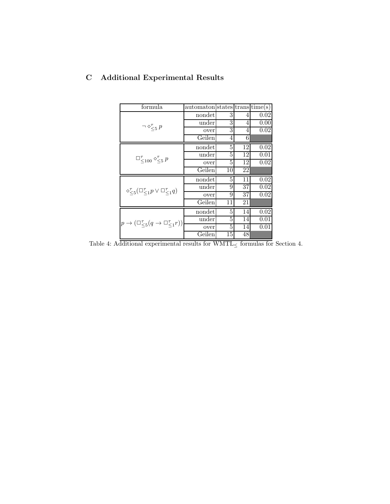| formula                                                           | $automaton$ states trans time(s) |    |                 |          |
|-------------------------------------------------------------------|----------------------------------|----|-----------------|----------|
|                                                                   | nondet                           | 3  | 4               | 0.02     |
|                                                                   | under                            | 3  | 4               | 0.00     |
| $\neg \diamond \zeta_5 p$                                         | over                             | 3  | 4               | 0.02     |
|                                                                   | Geilen                           | 4  | 6               |          |
| $\square_{\leq 100}^{\tau} \diamond_{\leq 5}^{\tau} p$            | nondet                           | 5  | 12              | 0.02     |
|                                                                   | under                            | 5  | 12              | 0.01     |
|                                                                   | over                             | 5  | 12              | 0.02     |
|                                                                   | Geilen                           | 10 | 22              |          |
|                                                                   | nondet                           | 5  | 11              | 0.02     |
|                                                                   | under                            | 9  | $\overline{37}$ | 0.02     |
| $\Diamond \zeta_5 (\Box \zeta_1 p \vee \Box \zeta_1 q)$           | over                             | 9  | 37              | 0.02     |
|                                                                   | Geilen                           | 11 | 21              |          |
| $p \rightarrow (\Box_{<5}^\tau (q \rightarrow \Box_{<1}^\tau r))$ | nondet                           | 5  | 14              | $0.02\,$ |
|                                                                   | under                            | 5  | 14              | 0.01     |
|                                                                   | over                             | 5  | 14              | 0.01     |
|                                                                   | Geilen                           | 15 | 48              |          |

# **C Additional Experimental Results**

Table 4: Additional experimental results for WMTL $\leq$  formulas for Section 4.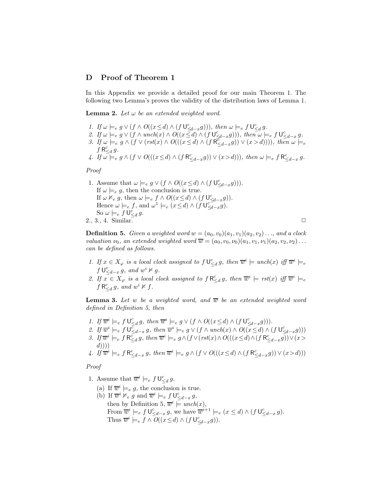#### **D Proof of Theorem 1**

In this Appendix we provide a detailed proof for our main Theorem 1. The following two Lemma's proves the validity of the distribution laws of Lemma 1.

**Lemma 2.** Let  $\omega$  be an extended weighted word.

- *1.* If  $\omega \models_e g \vee (f \wedge O((x \leq d) \wedge (f \cup \underbrace{\leq_{d-x}} g))))$ , then  $\omega \models_e f \cup \underbrace{\leq_d g}$ .
- 2. If  $\omega \models_e g \vee (f \wedge \text{unch}(x) \wedge O((x \le d) \wedge (f \cup \le d-xg)))$ , then  $\omega \models_e f \cup \le d-xg$ .
- *3.* If  $\omega \models_e g \wedge (f \vee (rst(x) \wedge O(((x \le d) \wedge (f R_{\le d-x}^{\overline{c}} g)) \vee (x > d))))$ *, then*  $\omega \models_e$  $f \mathsf{R}_{\leq d}^c g$ .
- 4. If  $\overline{\omega} \models_e g \wedge (f \vee O(((x \leq d) \wedge (f \mathsf{R}_{\leq d-x}^c g)) \vee (x > d)))$ , then  $\omega \models_e f \mathsf{R}_{\leq d-x}^c g$ .

*Proof*

1. Assume that  $\omega \models_e g \vee (f \wedge O((x \leq d) \wedge (f \cup_{\leq d-x}^c g)))$ . If  $\omega \models_e g$ , then the conclusion is true. If  $\omega \nvDash_e g$ , then  $\omega \models_e f \wedge O((x \leq d) \wedge (f \cup_{\leq d-x}^c g)).$ Hence  $\omega \models_{e} f$ , and  $\omega^{1} \models_{e} (x \leq d) \wedge (f \cup_{\leq d-x}^{c} g)$ . So  $\omega \models_e f \mathsf{U}^c_{\leq d} g$ . 2., 3., 4. Similar.  $\Box$ 

**Definition 5.** *Given a weighted word*  $w = (a_0, v_0)(a_1, v_1)(a_2, v_2) \ldots$ *, and a clock valuation*  $\nu_0$ *, an extended weighted word*  $\overline{w} = (a_0, v_0, \nu_0)(a_1, v_1, \nu_1)(a_2, v_2, \nu_2) \dots$ *can be defined as follows.*

- 1. If  $x \in X_\varphi$  is a local clock assigned to  $f \cup_{\leq d}^c g$ , then  $\overline{w}^i \models$  unch(x) iff  $\overline{w}^i \models_e$  $f \bigcup_{\leq d-x}^c g$ *, and*  $w^i \not\models g$ *.*
- 2. If  $x \in X_\varphi$  *is a local clock assigned to*  $f R^c \leq d} g$ *, then*  $\overline{w}^i \models \text{rst}(x)$  *iff*  $\overline{w}^i \models e$  $f \mathsf{R}_{\leq d}^c g$ , and  $w^i \not\vdash f$ .

**Lemma 3.** Let w be a weighted word, and  $\overline{w}$  be an extended weighted word *defined in Definition 5, then*

- *1.* If  $\overline{w}^i \models_e f \cup_{\leq d}^c g$ , then  $\overline{w}^i \models_e g \vee (f \wedge O((x \leq d) \wedge (f \cup_{\leq d-x}^c g)))$ .
- 2. If  $\overline{w}^i \models_e f \cup_{\leq d-x}^{\overline{c}} g$ , then  $\overline{w}^i \models_e g \vee (f \wedge \text{unch}(x) \wedge O((\overline{x} \leq d) \wedge (f \cup_{\leq d-x}^{\overline{c}} g)))$
- 3. If  $\overline{w}^i \models_{e} f \mathsf{R}_{\leq d}^c g$ , then  $\overline{w}^i \models_{e} g \wedge (f \vee (rst(x) \wedge O(((x \leq d) \wedge (f \mathsf{R}_{\leq d-x}^c g)) \vee (x >$  $d))))$

4. If 
$$
\overline{w}^i \models_e f \mathsf{R}_{\leq d-x}^c g
$$
, then  $\overline{w}^i \models_e g \wedge (f \vee O(((x \leq d) \wedge (f \mathsf{R}_{\leq d-x}^c g)) \vee (x > d)))$ 

*Proof*

- 1. Assume that  $\overline{w}^i \models_e f \mathsf{U}^c_{\leq d} g$ .
	- (a) If  $\overline{w}^i \models_e g$ , the conclusion is true. (b) If  $\overline{w}^i \nvDash_e g$  and  $\overline{w}^i \models_e f \mathsf{U}^c_{\leq d-x} g$ , then by Definition 5,  $\overline{w}^i \stackrel{\rightharpoonup}{=}$  unch(x), From  $\overline{w}^i \models_{e} f \mathsf{U}^c_{\leq d-x} g$ , we have  $\overline{w}^{i+1} \models_{e} (x \leq d) \wedge (f \mathsf{U}^c_{\leq d-x} g)$ . Thus  $\overline{w}^i \models_e f \land \overline{O((x \leq d) \land (f \cup_{\leq d-x}^c g))}.$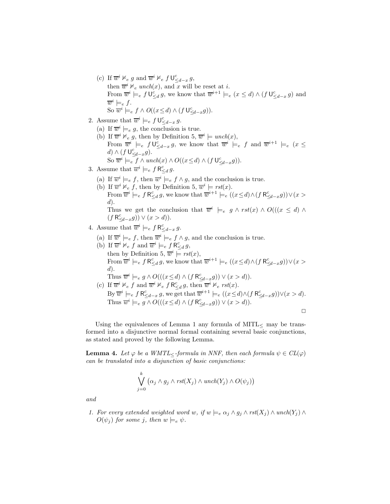- (c) If  $\overline{w}^i \nvDash_e g$  and  $\overline{w}^i \nvDash_e f \cup_{\leq d-x}^e g$ , then  $\overline{w}^i \nvDash_e \text{unch}(x)$ , and x will be reset at *i*. From  $\overline{w}^i \models_{e} f \mathsf{U}^c_{\leq d} g$ , we know that  $\overline{w}^{i+1} \models_{e} (x \leq d) \wedge (f \mathsf{U}^c_{\leq d-x} g)$  and  $\overline{w}^i \models_e f$ . So  $\overline{w}^i \models_e f \wedge O((x \le d) \wedge (f \mathsf{U}_{\le d-x}^c g)).$
- 2. Assume that  $\overline{w}^i \models_e f \mathsf{U}^c_{\leq d-x} g$ .
	- (a) If  $\overline{w}^i \models_e g$ , the conclusion is true.
	- (b) If  $\overline{w}^i \nvDash_e g$ , then by Definition 5,  $\overline{w}^i \models \text{unch}(x)$ , From  $\overline{w}^i \models_e f \cup_{\leq d-x}^c g$ , we know that  $\overline{w}^i \models_e f$  and  $\overline{w}^{i+1} \models_e (x \leq$  $d) \wedge (f \cup_{\leq d-x}^c g).$ So  $\overline{w}^i \models_{e} f \wedge \text{unch}(x) \wedge O((x \leq d) \wedge (f \mathsf{U}_{\leq d-x}^c g)).$
- 3. Assume that  $\overline{w}^i \models_e f \mathsf{R}^c_{\leq d} g$ .
	- (a) If  $\overline{w}^i \models_{e} f$ , then  $\overline{w}^i \models_{e} f \land g$ , and the conclusion is true.
	- (b) If  $\overline{w}^i \nvDash_{e} f$ , then by Definition 5,  $\overline{w}^i \models \text{rst}(x)$ . From  $\overline{w}^i \models_e f \mathsf{R}_{\leq d}^c g$ , we know that  $\overline{w}^{i+1} \models_e ((x \leq d) \land (f \mathsf{R}_{\leq d-x}^c g)) \lor (x >$  $(d)$ . Thus we get the conclusion that  $\overline{w}^i \models_e g \wedge \text{rst}(x) \wedge O((x \leq d) \wedge$

 $(f \mathsf{R}_{\leq d-x}^c g)) \vee (x > d)).$ 

- 4. Assume that  $\overline{w}^i \models_e f \mathsf{R}^c_{\leq d-x} g$ .
	- (a) If  $\overline{w}^i \models_{e} f$ , then  $\overline{w}^i \models_{e} f \land g$ , and the conclusion is true.
	- (b) If  $\overline{w}^i \nvDash_{e} f$  and  $\overline{w}^i \models_{e} f \mathsf{R}_{\leq d}^c g$ , then by Definition 5,  $\overline{w}^i$   $\models$  *rst*(*x*), From  $\overline{w}^i \models_e f \mathsf{R}_{\leq d}^c g$ , we know that  $\overline{w}^{i+1} \models_e ((x \leq d) \land (f \mathsf{R}_{\leq d-x}^c g)) \lor (x >$  $d$ ). Thus  $\overline{w}^i \models_e g \land O(((x \leq d) \land (f \mathsf{R}_{\leq d-x}^c g)) \lor (x > d)).$ (c) If  $\overline{w}^i \nvDash_{e} f$  and  $\overline{w}^i \nvDash_{e} f \mathsf{R}_{\leq d}^c g$ , then  $\overline{w}^i \nvDash_{e} rst(x)$ .
		- By  $\overline{w}^i \models_e f \mathsf{R}_{\leq d-x}^c g$ , we get that  $\overline{w}^{i+1} \models_e ((x \leq d) \land (f \mathsf{R}_{\leq d-x}^c g)) \lor (x > d)$ . Thus  $\overline{w}^i \models_e g \land O(((x \leq d) \land (f \mathsf{R}_{\leq d-x}^c g)) \lor (x > d)).$  $\Box$

Using the equivalences of Lemma 1 any formula of  $MITL<sub>≤</sub>$  may be transformed into a disjunctive normal formal containing several basic conjunctions, as stated and proved by the following Lemma.

**Lemma 4.** Let  $\varphi$  be a WMTL< *-formula in NNF, then each formula*  $\psi \in CL(\varphi)$ *can be translated into a disjunction of basic conjunctions:*

$$
\bigvee_{j=0}^k (\alpha_j \wedge g_j \wedge \text{rst}(X_j) \wedge \text{unch}(Y_j) \wedge O(\psi_j))
$$

*and*

*1. For every extended weighted word* w, if  $w \models_e \alpha_j \land g_j \land \text{rst}(X_j) \land \text{unch}(Y_j) \land \text{lr}$  $O(\psi_j)$  *for some j, then*  $w \models_e \psi$ *.*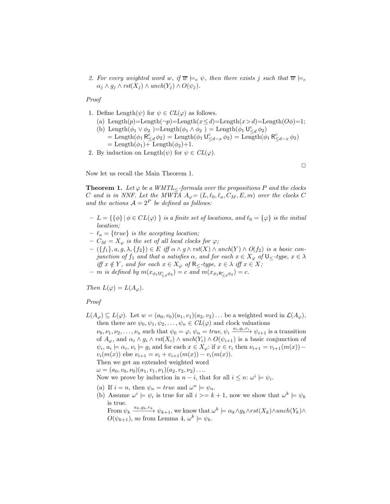*2. For every weighted word* w, if  $\overline{w} \models_e \psi$ , then there exists j such that  $\overline{w} \models_e$  $\alpha_j \wedge g_j \wedge \text{rst}(X_j) \wedge \text{unch}(Y_j) \wedge O(\psi_j).$ 

*Proof*

- 1. Define Length $(\psi)$  for  $\psi \in CL(\varphi)$  as follows.
	- (a) Length(p)=Length( $\neg p$ )=Length( $x \le d$ )=Length( $x > d$ )=Length( $O\phi$ )=1;
	- (b) Length $(\phi_1 \vee \phi_2)$ =Length $(\phi_1 \wedge \phi_2)$  = Length $(\phi_1 \vee \phi_2)$ = Length $(\phi_1 \mathsf{R}_{\leq d}^c \phi_2)$  = Length $(\phi_1 \mathsf{U}_{\leq d-x}^c \phi_2)$  = Length $(\phi_1 \mathsf{R}_{\leq d-x}^c \phi_2)$  $=$  Length $(\phi_1)$  + Length $(\phi_2)$  + 1.
- 2. By induction on Length $(\psi)$  for  $\psi \in CL(\varphi)$ .

 $\Box$ 

Now let us recall the Main Theorem 1.

**Theorem 1.** *Let*  $\varphi$  *be a WMTL*<*-formula over the propositions* P *and the clocks* C and is in NNF. Let the MWTA  $A_{\varphi} = (L, \ell_0, \ell_a, C_M, E, m)$  over the clocks C and the actions  $A = 2^P$  be defined as follows:

- $\mathcal{L} = \{ \{\phi\} \mid \phi \in CL(\varphi) \}$  *is a finite set of locations, and*  $\ell_0 = \{\varphi\}$  *is the initial location;*
- $-\ell_a = \{true\}$  *is the accepting location;*
- $-C_M = X_\varphi$  *is the set of all local clocks for*  $\varphi$ *;*
- $({f_1}, a, g, \lambda, {f_2}) \in E$  *iff*  $\alpha \wedge g \wedge \text{rst}(X) \wedge \text{unch}(Y) \wedge O(f_2)$  *is a basic conjunction of*  $f_1$  *and that a satisfies*  $\alpha$ *, and for each*  $x \in X_\varphi$  *of*  $\bigcup_{z \in \mathcal{I}} f(y)$ ,  $x \in \lambda$ *iff*  $x \notin Y$ *, and for each*  $x \in X_{\varphi}$  *of*  $\mathsf{R}_{\leq}$ *-type,*  $x \in \lambda$  *iff*  $x \in X$ *;*
- $-$  *m is defined by*  $m(x_{\phi_1 \mathsf{U}^c_{\leq d} \phi_2}) = c$  *and*  $m(x_{\phi_1 \mathsf{R}^c_{\leq d} \phi_2}) = c$ *.*

*Then*  $L(\varphi) = L(A_{\varphi})$ *.* 

*Proof*

 $L(A_\varphi) \subseteq L(\varphi)$ . Let  $w = (a_0, v_0)(a_1, v_1)(a_2, v_2) \dots$  be a weighted word in  $\mathcal{L}(A_\varphi)$ , then there are  $\psi_0, \psi_1, \psi_2, \dots, \psi_n \in CL(\varphi)$  and clock valuations

 $\nu_0, \nu_1, \nu_2, \ldots, \nu_n$  such that  $\psi_0 = \varphi, \psi_n = \text{true}, \psi_i \xrightarrow{a_i, g_i, r_i} \psi_{i+1}$  is a transition of  $A_{\varphi}$ , and  $\alpha_i \wedge g_i \wedge \text{rst}(X_i) \wedge \text{unch}(Y_i) \wedge O(\psi_{i+1})$  is a basic conjunction of  $\psi_i, a_i \models \alpha_i, \nu_i \models g_i$  and for each  $x \in X_{\varphi}$ : if  $x \in r_i$  then  $\nu_{i+1} = \nu_{i+1}(m(x))$  –  $v_i(m(x))$  else  $\nu_{i+1} = \nu_i + v_{i+1}(m(x)) - v_i(m(x)).$ Then we get an extended weighted word

 $\omega = (a_0, v_0, \nu_0)(a_1, v_1, \nu_1)(a_2, v_2, \nu_2)\ldots$ 

Now we prove by induction in  $n - i$ , that for all  $i \leq n$ :  $\omega^i \models \psi_i$ .

- (a) If  $i = n$ , then  $\psi_n = true$  and  $\omega^n \models \psi_n$ .
- (b) Assume  $\omega^i \models \psi_i$  is true for all  $i \geq k+1$ , now we show that  $\omega^k \models \psi_k$ is true.

From  $\psi_k \xrightarrow{a_k,g_k,r_k} \psi_{k+1}$ , we know that  $\omega^k \models \alpha_k \land g_k \land rst(X_k) \land unch(Y_k) \land$  $O(\psi_{k+1}),$  so from Lemma 4,  $\omega^k \models \psi_k$ .